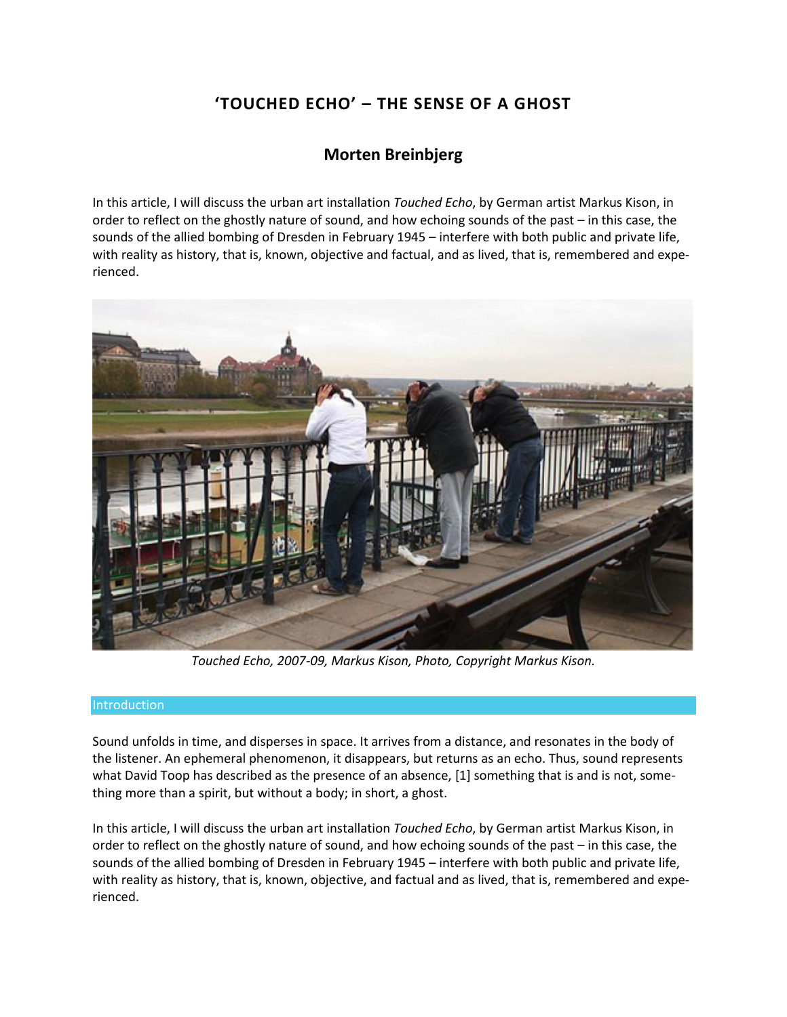# **'TOUCHED ECHO' – THE SENSE OF A GHOST**

## **Morten Breinbjerg**

In this article, I will discuss the urban art installation *Touched Echo*, by German artist Markus Kison, in order to reflect on the ghostly nature of sound, and how echoing sounds of the past – in this case, the sounds of the allied bombing of Dresden in February 1945 – interfere with both public and private life, with reality as history, that is, known, objective and factual, and as lived, that is, remembered and experienced.



*Touched Echo, 2007-09, Markus Kison, Photo, Copyright Markus Kison.*

#### Introduction

Sound unfolds in time, and disperses in space. It arrives from a distance, and resonates in the body of the listener. An ephemeral phenomenon, it disappears, but returns as an echo. Thus, sound represents what David Toop has described as the presence of an absence, [1] something that is and is not, something more than a spirit, but without a body; in short, a ghost.

In this article, I will discuss the urban art installation *Touched Echo*, by German artist Markus Kison, in order to reflect on the ghostly nature of sound, and how echoing sounds of the past – in this case, the sounds of the allied bombing of Dresden in February 1945 – interfere with both public and private life, with reality as history, that is, known, objective, and factual and as lived, that is, remembered and experienced.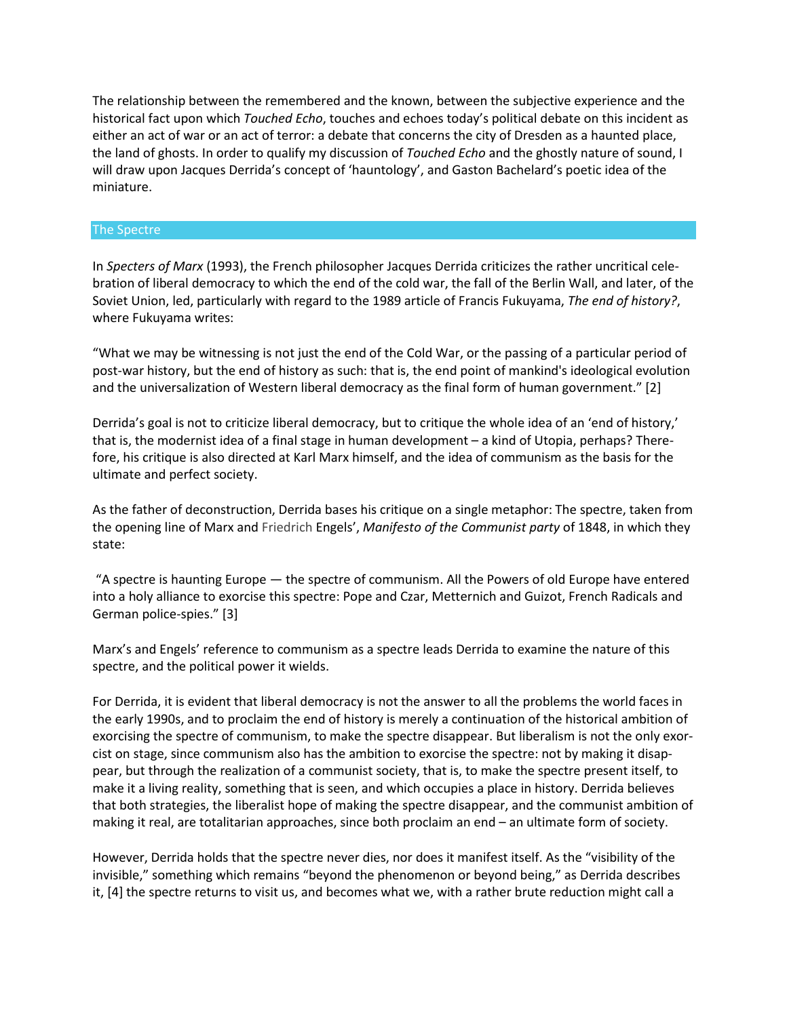The relationship between the remembered and the known, between the subjective experience and the historical fact upon which *Touched Echo*, touches and echoes today's political debate on this incident as either an act of war or an act of terror: a debate that concerns the city of Dresden as a haunted place, the land of ghosts. In order to qualify my discussion of *Touched Echo* and the ghostly nature of sound, I will draw upon Jacques Derrida's concept of 'hauntology', and Gaston Bachelard's poetic idea of the miniature.

#### The Spectre

In *Specters of Marx* (1993), the French philosopher Jacques Derrida criticizes the rather uncritical celebration of liberal democracy to which the end of the cold war, the fall of the Berlin Wall, and later, of the Soviet Union, led, particularly with regard to the 1989 article of Francis Fukuyama, *The end of history?*, where Fukuyama writes:

"What we may be witnessing is not just the end of the Cold War, or the passing of a particular period of post-war history, but the end of history as such: that is, the end point of mankind's ideological evolution and the universalization of Western liberal democracy as the final form of human government." [2]

Derrida's goal is not to criticize liberal democracy, but to critique the whole idea of an 'end of history,' that is, the modernist idea of a final stage in human development – a kind of Utopia, perhaps? Therefore, his critique is also directed at Karl Marx himself, and the idea of communism as the basis for the ultimate and perfect society.

As the father of deconstruction, Derrida bases his critique on a single metaphor: The spectre, taken from the opening line of Marx and Friedrich Engels', *Manifesto of the Communist party* of 1848, in which they state:

"A spectre is haunting Europe — the spectre of communism. All the Powers of old Europe have entered into a holy alliance to exorcise this spectre: Pope and Czar, Metternich and Guizot, French Radicals and German police-spies." [3]

Marx's and Engels' reference to communism as a spectre leads Derrida to examine the nature of this spectre, and the political power it wields.

For Derrida, it is evident that liberal democracy is not the answer to all the problems the world faces in the early 1990s, and to proclaim the end of history is merely a continuation of the historical ambition of exorcising the spectre of communism, to make the spectre disappear. But liberalism is not the only exorcist on stage, since communism also has the ambition to exorcise the spectre: not by making it disappear, but through the realization of a communist society, that is, to make the spectre present itself, to make it a living reality, something that is seen, and which occupies a place in history. Derrida believes that both strategies, the liberalist hope of making the spectre disappear, and the communist ambition of making it real, are totalitarian approaches, since both proclaim an end – an ultimate form of society.

However, Derrida holds that the spectre never dies, nor does it manifest itself. As the "visibility of the invisible," something which remains "beyond the phenomenon or beyond being," as Derrida describes it, [4] the spectre returns to visit us, and becomes what we, with a rather brute reduction might call a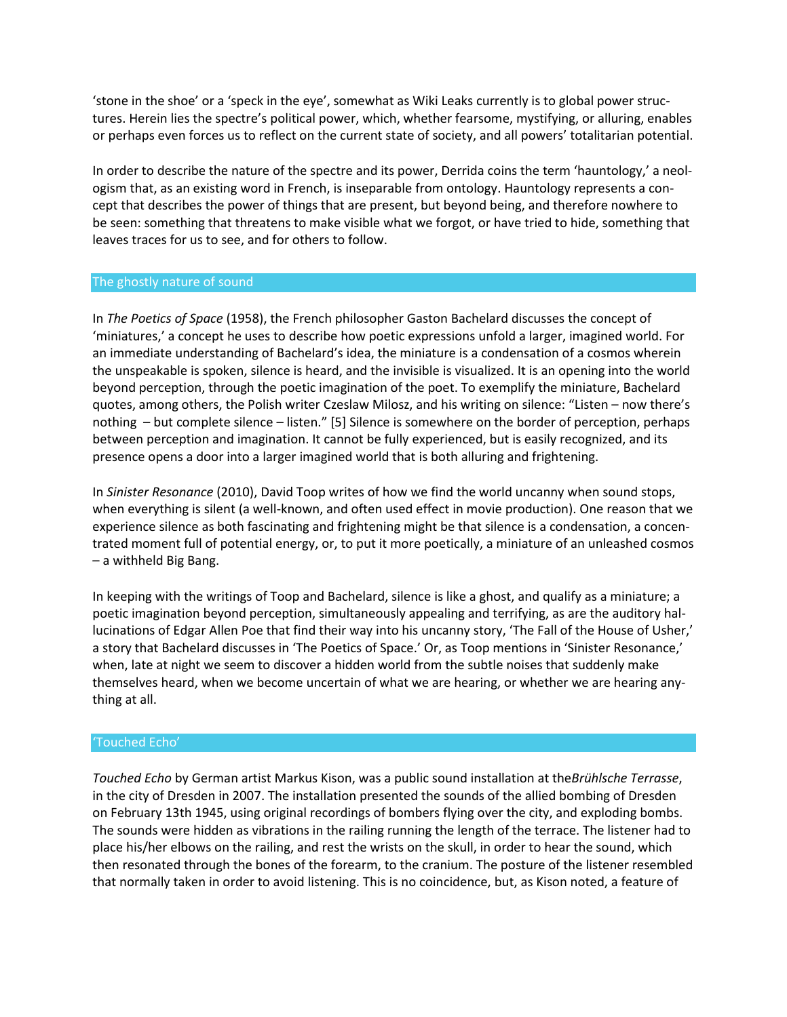'stone in the shoe' or a 'speck in the eye', somewhat as Wiki Leaks currently is to global power structures. Herein lies the spectre's political power, which, whether fearsome, mystifying, or alluring, enables or perhaps even forces us to reflect on the current state of society, and all powers' totalitarian potential.

In order to describe the nature of the spectre and its power, Derrida coins the term 'hauntology,' a neologism that, as an existing word in French, is inseparable from ontology. Hauntology represents a concept that describes the power of things that are present, but beyond being, and therefore nowhere to be seen: something that threatens to make visible what we forgot, or have tried to hide, something that leaves traces for us to see, and for others to follow.

#### The ghostly nature of sound

In *The Poetics of Space* (1958), the French philosopher Gaston Bachelard discusses the concept of 'miniatures,' a concept he uses to describe how poetic expressions unfold a larger, imagined world. For an immediate understanding of Bachelard's idea, the miniature is a condensation of a cosmos wherein the unspeakable is spoken, silence is heard, and the invisible is visualized. It is an opening into the world beyond perception, through the poetic imagination of the poet. To exemplify the miniature, Bachelard quotes, among others, the Polish writer Czeslaw Milosz, and his writing on silence: "Listen – now there's nothing – but complete silence – listen." [5] Silence is somewhere on the border of perception, perhaps between perception and imagination. It cannot be fully experienced, but is easily recognized, and its presence opens a door into a larger imagined world that is both alluring and frightening.

In *Sinister Resonance* (2010), David Toop writes of how we find the world uncanny when sound stops, when everything is silent (a well-known, and often used effect in movie production). One reason that we experience silence as both fascinating and frightening might be that silence is a condensation, a concentrated moment full of potential energy, or, to put it more poetically, a miniature of an unleashed cosmos – a withheld Big Bang.

In keeping with the writings of Toop and Bachelard, silence is like a ghost, and qualify as a miniature; a poetic imagination beyond perception, simultaneously appealing and terrifying, as are the auditory hallucinations of Edgar Allen Poe that find their way into his uncanny story, 'The Fall of the House of Usher,' a story that Bachelard discusses in 'The Poetics of Space.' Or, as Toop mentions in 'Sinister Resonance,' when, late at night we seem to discover a hidden world from the subtle noises that suddenly make themselves heard, when we become uncertain of what we are hearing, or whether we are hearing anything at all.

#### 'Touched Echo'

*Touched Echo* by German artist Markus Kison, was a public sound installation at the*Brühlsche Terrasse*, in the city of Dresden in 2007. The installation presented the sounds of the allied bombing of Dresden on February 13th 1945, using original recordings of bombers flying over the city, and exploding bombs. The sounds were hidden as vibrations in the railing running the length of the terrace. The listener had to place his/her elbows on the railing, and rest the wrists on the skull, in order to hear the sound, which then resonated through the bones of the forearm, to the cranium. The posture of the listener resembled that normally taken in order to avoid listening. This is no coincidence, but, as Kison noted, a feature of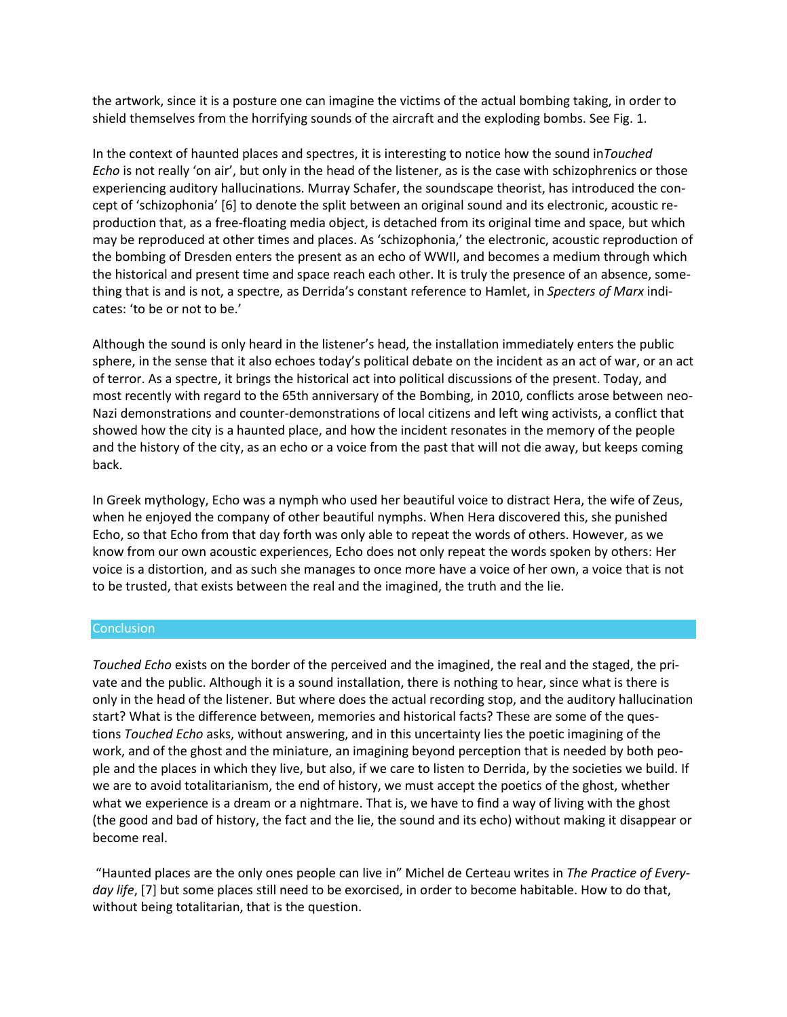the artwork, since it is a posture one can imagine the victims of the actual bombing taking, in order to shield themselves from the horrifying sounds of the aircraft and the exploding bombs. See Fig. 1.

In the context of haunted places and spectres, it is interesting to notice how the sound in*Touched Echo* is not really 'on air', but only in the head of the listener, as is the case with schizophrenics or those experiencing auditory hallucinations. Murray Schafer, the soundscape theorist, has introduced the concept of 'schizophonia' [6] to denote the split between an original sound and its electronic, acoustic reproduction that, as a free-floating media object, is detached from its original time and space, but which may be reproduced at other times and places. As 'schizophonia,' the electronic, acoustic reproduction of the bombing of Dresden enters the present as an echo of WWII, and becomes a medium through which the historical and present time and space reach each other. It is truly the presence of an absence, something that is and is not, a spectre, as Derrida's constant reference to Hamlet, in *Specters of Marx* indicates: 'to be or not to be.'

Although the sound is only heard in the listener's head, the installation immediately enters the public sphere, in the sense that it also echoes today's political debate on the incident as an act of war, or an act of terror. As a spectre, it brings the historical act into political discussions of the present. Today, and most recently with regard to the 65th anniversary of the Bombing, in 2010, conflicts arose between neo-Nazi demonstrations and counter-demonstrations of local citizens and left wing activists, a conflict that showed how the city is a haunted place, and how the incident resonates in the memory of the people and the history of the city, as an echo or a voice from the past that will not die away, but keeps coming back.

In Greek mythology, Echo was a nymph who used her beautiful voice to distract Hera, the wife of Zeus, when he enjoyed the company of other beautiful nymphs. When Hera discovered this, she punished Echo, so that Echo from that day forth was only able to repeat the words of others. However, as we know from our own acoustic experiences, Echo does not only repeat the words spoken by others: Her voice is a distortion, and as such she manages to once more have a voice of her own, a voice that is not to be trusted, that exists between the real and the imagined, the truth and the lie.

#### **Conclusion**

*Touched Echo* exists on the border of the perceived and the imagined, the real and the staged, the private and the public. Although it is a sound installation, there is nothing to hear, since what is there is only in the head of the listener. But where does the actual recording stop, and the auditory hallucination start? What is the difference between, memories and historical facts? These are some of the questions *Touched Echo* asks, without answering, and in this uncertainty lies the poetic imagining of the work, and of the ghost and the miniature, an imagining beyond perception that is needed by both people and the places in which they live, but also, if we care to listen to Derrida, by the societies we build. If we are to avoid totalitarianism, the end of history, we must accept the poetics of the ghost, whether what we experience is a dream or a nightmare. That is, we have to find a way of living with the ghost (the good and bad of history, the fact and the lie, the sound and its echo) without making it disappear or become real.

"Haunted places are the only ones people can live in" Michel de Certeau writes in *The Practice of Everyday life*, [7] but some places still need to be exorcised, in order to become habitable. How to do that, without being totalitarian, that is the question.